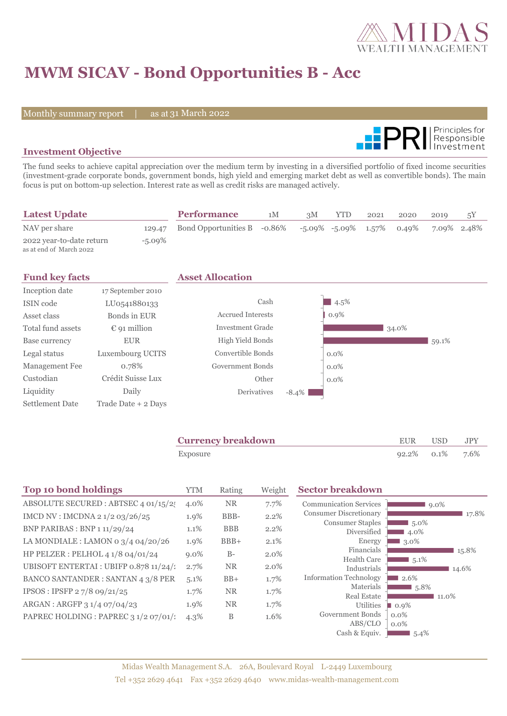

# **MWM SICAV - Bond Opportunities B - Acc**

Monthly summary report | as at 31 March 2022



## **Investment Objective**

The fund seeks to achieve capital appreciation over the medium term by investing in a diversified portfolio of fixed income securities (investment-grade corporate bonds, government bonds, high yield and emerging market debt as well as convertible bonds). The main focus is put on bottom-up selection. Interest rate as well as credit risks are managed actively.

| <b>Latest Update</b>                                |           | <b>Performance</b>                 | 1M | 3M | <b>YTD</b> | 2021 | 2020                               | 2019        | 5Y |
|-----------------------------------------------------|-----------|------------------------------------|----|----|------------|------|------------------------------------|-------------|----|
| NAV per share                                       |           | 129.47 Bond Opportunities B -0.86% |    |    |            |      | $-5.09\%$ $-5.09\%$ $1.57\%$ 0.49% | 7.09% 2.48% |    |
| 2022 year-to-date return<br>as at end of March 2022 | $-5.09\%$ |                                    |    |    |            |      |                                    |             |    |

| <b>Fund key facts</b> |                       | <b>Asset Allocation</b>  |          |         |       |       |  |
|-----------------------|-----------------------|--------------------------|----------|---------|-------|-------|--|
| Inception date        | 17 September 2010     |                          |          |         |       |       |  |
| ISIN code             | LU0541880133          | Cash                     |          | $4.5\%$ |       |       |  |
| Asset class           | Bonds in EUR          | <b>Accrued Interests</b> |          | $0.9\%$ |       |       |  |
| Total fund assets     | $\epsilon$ 91 million | Investment Grade         |          |         | 34.0% |       |  |
| Base currency         | <b>EUR</b>            | High Yield Bonds         |          |         |       | 59.1% |  |
| Legal status          | Luxembourg UCITS      | Convertible Bonds        |          | $0.0\%$ |       |       |  |
| Management Fee        | 0.78%                 | Government Bonds         |          | $0.0\%$ |       |       |  |
| Custodian             | Crédit Suisse Lux     | Other                    |          | $0.0\%$ |       |       |  |
| Liquidity             | Daily                 | <b>Derivatives</b>       | $-8.4\%$ |         |       |       |  |
| Settlement Date       | Trade Date + 2 Days   |                          |          |         |       |       |  |

| <b>Currency breakdown</b> | EUR USD              | JPY |
|---------------------------|----------------------|-----|
| Exposure                  | $92.2\%$ 0.1\% 7.6\% |     |

| <b>Top 10 bond holdings</b>              | <b>YTM</b> | Rating     | Weight  | <b>Sector breakdown</b>                |                                |
|------------------------------------------|------------|------------|---------|----------------------------------------|--------------------------------|
| ABSOLUTE SECURED : ABTSEC 4 01/15/25     | 4.0%       | <b>NR</b>  | 7.7%    | <b>Communication Services</b>          | $9.0\%$                        |
| IMCD NV : IMCDNA 2 1/2 03/26/25          | 1.9%       | BBB-       | 2.2%    | <b>Consumer Discretionary</b>          | 17.8%                          |
| BNP PARIBAS : BNP 1 11/29/24             | 1.1%       | <b>BBB</b> | 2.2%    | <b>Consumer Staples</b><br>Diversified | $15.0\%$<br>4.0%               |
| LA MONDIALE : LAMON 0 $3/4$ 04/20/26     | 1.9%       | $BBB+$     | 2.1%    | Energy                                 | 3.0%                           |
| HP PELZER : PELHOL 4 1/8 04/01/24        | $9.0\%$    | $B-$       | $2.0\%$ | Financials                             | 15.8%                          |
| UBISOFT ENTERTAI : UBIFP 0.878 11/24/1   | 2.7%       | <b>NR</b>  | 2.0%    | <b>Health Care</b><br>Industrials      | $5.1\%$<br>14.6%               |
| <b>BANCO SANTANDER: SANTAN 4 3/8 PER</b> | 5.1%       | $BB+$      | 1.7%    | <b>Information Technology</b>          | 2.6%                           |
| IPSOS: IPSFP 27/8 09/21/25               | 1.7%       | <b>NR</b>  | 1.7%    | Materials                              | $15.8\%$                       |
| ARGAN : ARGFP 3 1/4 07/04/23             | 1.9%       | <b>NR</b>  | 1.7%    | <b>Real Estate</b><br>Utilities        | 11.0%                          |
| PAPREC HOLDING : PAPREC 3 1/2 07/01/2    |            | B          | 1.6%    | Government Bonds                       | $\blacksquare$ 0.9%<br>$0.0\%$ |
|                                          | $4.3\%$    |            |         | ABS/CLO                                | $0.0\%$                        |
|                                          |            |            |         | Cash & Equiv.                          | $5.4\%$                        |